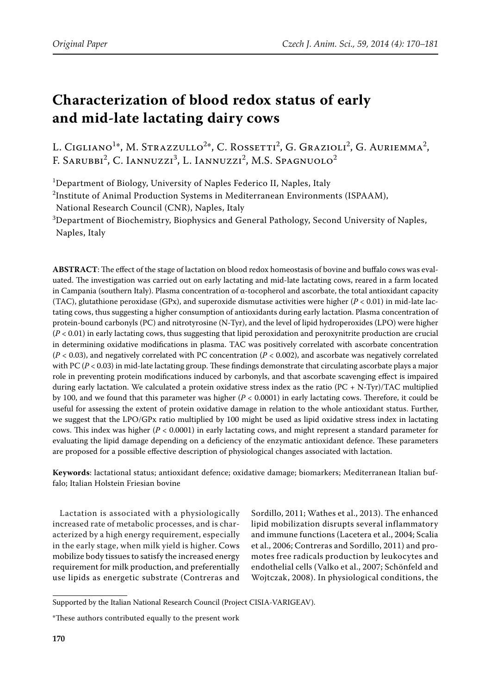# **Characterization of blood redox status of early and mid-late lactating dairy cows**

L. Cigliano<sup>1\*</sup>, M. Strazzullo<sup>2\*</sup>, C. Rossetti<sup>2</sup>, G. Grazioli<sup>2</sup>, G. Auriemma<sup>2</sup>, F. Sarubbi<sup>2</sup>, C. Iannuzzi<sup>3</sup>, L. Iannuzzi<sup>2</sup>, M.S. Spagnuolo<sup>2</sup>

 $^{\rm 1}$ Department of Biology, University of Naples Federico II, Naples, Italy

<sup>2</sup>Institute of Animal Production Systems in Mediterranean Environments (ISPAAM),

National Research Council (CNR), Naples, Italy

 $^3$ Department of Biochemistry, Biophysics and General Pathology, Second University of Naples, Naples, Italy

**ABSTRACT**: The effect of the stage of lactation on blood redox homeostasis of bovine and buffalo cows was evaluated. The investigation was carried out on early lactating and mid-late lactating cows, reared in a farm located in Campania (southern Italy). Plasma concentration of α-tocopherol and ascorbate, the total antioxidant capacity (TAC), glutathione peroxidase (GPx), and superoxide dismutase activities were higher ( $P < 0.01$ ) in mid-late lactating cows, thus suggesting a higher consumption of antioxidants during early lactation. Plasma concentration of protein-bound carbonyls (PC) and nitrotyrosine (N-Tyr), and the level of lipid hydroperoxides (LPO) were higher (*P* < 0.01) in early lactating cows, thus suggesting that lipid peroxidation and peroxynitrite production are crucial in determining oxidative modifications in plasma. TAC was positively correlated with ascorbate concentration (*P* < 0.03), and negatively correlated with PC concentration (*P* < 0.002), and ascorbate was negatively correlated with PC  $(P < 0.03)$  in mid-late lactating group. These findings demonstrate that circulating ascorbate plays a major role in preventing protein modifications induced by carbonyls, and that ascorbate scavenging effect is impaired during early lactation. We calculated a protein oxidative stress index as the ratio  $(PC + N-Tyr)/TAC$  multiplied by 100, and we found that this parameter was higher (*P* < 0.0001) in early lactating cows. Therefore, it could be useful for assessing the extent of protein oxidative damage in relation to the whole antioxidant status. Further, we suggest that the LPO/GPx ratio multiplied by 100 might be used as lipid oxidative stress index in lactating cows. This index was higher (*P* < 0.0001) in early lactating cows, and might represent a standard parameter for evaluating the lipid damage depending on a deficiency of the enzymatic antioxidant defence. These parameters are proposed for a possible effective description of physiological changes associated with lactation.

**Keywords**: lactational status; antioxidant defence; oxidative damage; biomarkers; Mediterranean Italian buffalo; Italian Holstein Friesian bovine

Lactation is associated with a physiologically increased rate of metabolic processes, and is characterized by a high energy requirement, especially in the early stage, when milk yield is higher. Cows mobilize body tissues to satisfy the increased energy requirement for milk production, and preferentially use lipids as energetic substrate (Contreras and

Sordillo, 2011; Wathes et al., 2013). The enhanced lipid mobilization disrupts several inflammatory and immune functions (Lacetera et al., 2004; Scalia et al., 2006; Contreras and Sordillo, 2011) and promotes free radicals production by leukocytes and endothelial cells (Valko et al., 2007; Schönfeld and Wojtczak, 2008). In physiological conditions, the

Supported by the Italian National Research Council (Project CISIA-VARIGEAV).

<sup>\*</sup>These authors contributed equally to the present work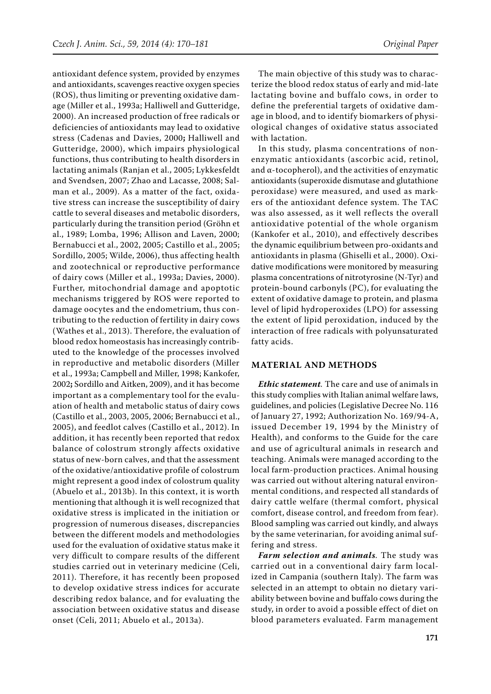antioxidant defence system, provided by enzymes and antioxidants, scavenges reactive oxygen species (ROS), thus limiting or preventing oxidative damage (Miller et al., 1993a; Halliwell and Gutteridge, 2000). An increased production of free radicals or deficiencies of antioxidants may lead to oxidative stress (Cadenas and Davies, 2000**;** Halliwell and Gutteridge, 2000), which impairs physiological functions, thus contributing to health disorders in lactating animals (Ranjan et al., 2005; Lykkesfeldt and Svendsen, 2007; Zhao and Lacasse, 2008; Salman et al., 2009). As a matter of the fact, oxidative stress can increase the susceptibility of dairy cattle to several diseases and metabolic disorders, particularly during the transition period (Gröhn et al., 1989; Lomba, 1996; Allison and Laven, 2000; Bernabucci et al., 2002, 2005; Castillo et al., 2005; Sordillo, 2005; Wilde, 2006), thus affecting health and zootechnical or reproductive performance of dairy cows (Miller et al., 1993a; Davies, 2000). Further, mitochondrial damage and apoptotic mechanisms triggered by ROS were reported to damage oocytes and the endometrium, thus contributing to the reduction of fertility in dairy cows (Wathes et al., 2013). Therefore, the evaluation of blood redox homeostasis has increasingly contributed to the knowledge of the processes involved in reproductive and metabolic disorders (Miller et al., 1993a; Campbell and Miller, 1998; Kankofer, 2002**;** Sordillo and Aitken, 2009), and it has become important as a complementary tool for the evaluation of health and metabolic status of dairy cows (Castillo et al., 2003, 2005, 2006; Bernabucci et al., 2005), and feedlot calves (Castillo et al., 2012). In addition, it has recently been reported that redox balance of colostrum strongly affects oxidative status of new-born calves, and that the assessment of the oxidative/antioxidative profile of colostrum might represent a good index of colostrum quality (Abuelo et al., 2013b). In this context, it is worth mentioning that although it is well recognized that oxidative stress is implicated in the initiation or progression of numerous diseases, discrepancies between the different models and methodologies used for the evaluation of oxidative status make it very difficult to compare results of the different studies carried out in veterinary medicine (Celi, 2011). Therefore, it has recently been proposed to develop oxidative stress indices for accurate describing redox balance, and for evaluating the association between oxidative status and disease onset (Celi, 2011; Abuelo et al., 2013a).

The main objective of this study was to characterize the blood redox status of early and mid-late lactating bovine and buffalo cows, in order to define the preferential targets of oxidative damage in blood, and to identify biomarkers of physiological changes of oxidative status associated with lactation.

In this study, plasma concentrations of nonenzymatic antioxidants (ascorbic acid, retinol, and  $\alpha$ -tocopherol), and the activities of enzymatic antioxidants (superoxide dismutase and glutathione peroxidase) were measured, and used as markers of the antioxidant defence system. The TAC was also assessed, as it well reflects the overall antioxidative potential of the whole organism (Kankofer et al., 2010), and effectively describes the dynamic equilibrium between pro-oxidants and antioxidants in plasma (Ghiselli et al., 2000). Oxidative modifications were monitored by measuring plasma concentrations of nitrotyrosine (N-Tyr) and protein-bound carbonyls (PC), for evaluating the extent of oxidative damage to protein, and plasma level of lipid hydroperoxides (LPO) for assessing the extent of lipid peroxidation, induced by the interaction of free radicals with polyunsaturated fatty acids.

#### **MATERIAL AND METHODS**

*Ethic statement.* The care and use of animals in this study complies with Italian animal welfare laws, guidelines, and policies (Legislative Decree No. 116 of January 27, 1992; Authorization No. 169/94-A, issued December 19, 1994 by the Ministry of Health), and conforms to the Guide for the care and use of agricultural animals in research and teaching. Animals were managed according to the local farm-production practices. Animal housing was carried out without altering natural environmental conditions, and respected all standards of dairy cattle welfare (thermal comfort, physical comfort, disease control, and freedom from fear). Blood sampling was carried out kindly, and always by the same veterinarian, for avoiding animal suffering and stress.

*Farm selection and animals.* The study was carried out in a conventional dairy farm localized in Campania (southern Italy). The farm was selected in an attempt to obtain no dietary variability between bovine and buffalo cows during the study, in order to avoid a possible effect of diet on blood parameters evaluated. Farm management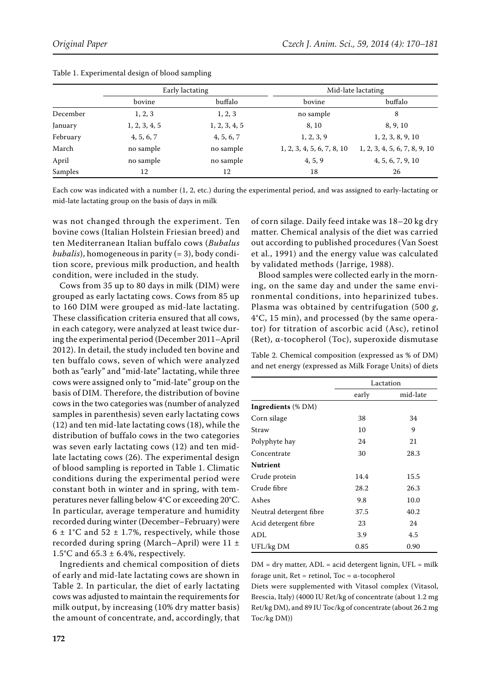|          | Early lactating |               | Mid-late lactating         |                               |  |
|----------|-----------------|---------------|----------------------------|-------------------------------|--|
|          | bovine          | buffalo       | bovine                     | buffalo                       |  |
| December | 1, 2, 3         | 1, 2, 3       | no sample                  | 8                             |  |
| January  | 1, 2, 3, 4, 5   | 1, 2, 3, 4, 5 | 8, 10                      | 8, 9, 10                      |  |
| February | 4, 5, 6, 7      | 4, 5, 6, 7    | 1, 2, 3, 9                 | 1, 2, 3, 8, 9, 10             |  |
| March    | no sample       | no sample     | 1, 2, 3, 4, 5, 6, 7, 8, 10 | 1, 2, 3, 4, 5, 6, 7, 8, 9, 10 |  |
| April    | no sample       | no sample     | 4, 5, 9                    | 4, 5, 6, 7, 9, 10             |  |
| Samples  | 12              | 12            | 18                         | 26                            |  |

Table 1. Experimental design of blood sampling

Each cow was indicated with a number (1, 2, etc.) during the experimental period, and was assigned to early-lactating or mid-late lactating group on the basis of days in milk

was not changed through the experiment. Ten bovine cows (Italian Holstein Friesian breed) and ten Mediterranean Italian buffalo cows (*Bubalus bubalis*), homogeneous in parity (= 3), body condition score, previous milk production, and health condition, were included in the study.

Cows from 35 up to 80 days in milk (DIM) were grouped as early lactating cows. Cows from 85 up to 160 DIM were grouped as mid-late lactating. These classification criteria ensured that all cows, in each category, were analyzed at least twice during the experimental period (December 2011–April 2012). In detail, the study included ten bovine and ten buffalo cows, seven of which were analyzed both as "early" and "mid-late" lactating, while three cows were assigned only to "mid-late" group on the basis of DIM. Therefore, the distribution of bovine cows in the two categories was (number of analyzed samples in parenthesis) seven early lactating cows (12) and ten mid-late lactating cows (18), while the distribution of buffalo cows in the two categories was seven early lactating cows (12) and ten midlate lactating cows (26). The experimental design of blood sampling is reported in Table 1. Climatic conditions during the experimental period were constant both in winter and in spring, with temperatures never falling below 4°C or exceeding 20°C. In particular, average temperature and humidity recorded during winter (December–February) were  $6 \pm 1$ °C and  $52 \pm 1.7$ %, respectively, while those recorded during spring (March–April) were 11 ± 1.5°C and  $65.3 \pm 6.4$ %, respectively.

Ingredients and chemical composition of diets of early and mid-late lactating cows are shown in Table 2. In particular, the diet of early lactating cows was adjusted to maintain the requirements for milk output, by increasing (10% dry matter basis) the amount of concentrate, and, accordingly, that

of corn silage. Daily feed intake was 18–20 kg dry matter. Chemical analysis of the diet was carried out according to published procedures (Van Soest et al., 1991) and the energy value was calculated by validated methods (Jarrige, 1988).

Blood samples were collected early in the morning, on the same day and under the same environmental conditions, into heparinized tubes. Plasma was obtained by centrifugation (500 *g*, 4°C, 15 min), and processed (by the same operator) for titration of ascorbic acid (Asc), retinol (Ret), α-tocopherol (Toc), superoxide dismutase

Table 2. Chemical composition (expressed as % of DM) and net energy (expressed as Milk Forage Units) of diets

|                         | Lactation |          |  |
|-------------------------|-----------|----------|--|
|                         | early     | mid-late |  |
| Ingredients (% DM)      |           |          |  |
| Corn silage             | 38        | 34       |  |
| Straw                   | 10        | 9        |  |
| Polyphyte hay           | 24        | 21       |  |
| Concentrate             | 30        | 28.3     |  |
| <b>Nutrient</b>         |           |          |  |
| Crude protein           | 14.4      | 15.5     |  |
| Crude fibre             | 28.2      | 26.3     |  |
| Ashes                   | 9.8       | 10.0     |  |
| Neutral detergent fibre | 37.5      | 40.2     |  |
| Acid detergent fibre    | 23        | 24       |  |
| ADL                     | 3.9       | 4.5      |  |
| UFL/kg DM               | 0.85      | 0.90     |  |

 $DM = dry$  matter,  $ADL = acid$  detergent lignin,  $UFL = milk$ forage unit,  $Ret = retinol$ ,  $Toc = \alpha$ -tocopherol

Diets were supplemented with Vitasol complex (Vitasol, Brescia, Italy) (4000 IU Ret/kg of concentrate (about 1.2 mg Ret/kg DM), and 89 IU Toc/kg of concentrate (about 26.2 mg Toc/kg DM))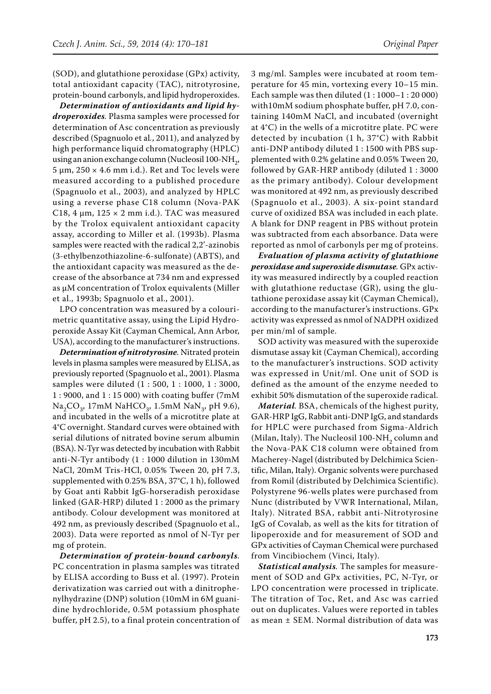(SOD), and glutathione peroxidase (GPx) activity, total antioxidant capacity (TAC), nitrotyrosine, protein-bound carbonyls, and lipid hydroperoxides.

*Determination of antioxidants and lipid hydroperoxides.* Plasma samples were processed for determination of Asc concentration as previously described (Spagnuolo et al*.*, 2011), and analyzed by high performance liquid chromatography (HPLC) using an anion exchange column (Nucleosil 100-NH<sub>2</sub>,  $5 \mu m$ ,  $250 \times 4.6 \text{ mm}$  i.d.). Ret and Toc levels were measured according to a published procedure (Spagnuolo et al., 2003), and analyzed by HPLC using a reverse phase C18 column (Nova-PAK C18, 4  $\mu$ m, 125  $\times$  2 mm i.d.). TAC was measured by the Trolox equivalent antioxidant capacity assay, according to Miller et al. (1993b). Plasma samples were reacted with the radical 2,2'-azinobis (3-ethylbenzothiazoline-6-sulfonate) (ABTS), and the antioxidant capacity was measured as the decrease of the absorbance at 734 nm and expressed as µM concentration of Trolox equivalents (Miller et al., 1993b; Spagnuolo et al., 2001).

LPO concentration was measured by a colourimetric quantitative assay, using the Lipid Hydroperoxide Assay Kit (Cayman Chemical, Ann Arbor, USA), according to the manufacturer's instructions.

*Determination of nitrotyrosine.* Nitrated protein levels in plasma samples were measured by ELISA, as previously reported (Spagnuolo et al., 2001). Plasma samples were diluted (1 : 500, 1 : 1000, 1 : 3000, 1 : 9000, and 1 : 15 000) with coating buffer (7mM  $Na<sub>3</sub>CO<sub>3</sub>$ , 17mM NaHCO<sub>3</sub>, 1.5mM NaN<sub>3</sub>, pH 9.6), and incubated in the wells of a microtitre plate at 4°C overnight. Standard curves were obtained with serial dilutions of nitrated bovine serum albumin (BSA). N-Tyr was detected by incubation with Rabbit anti-N-Tyr antibody (1 : 1000 dilution in 130mM NaCl, 20mM Tris-HCl, 0.05% Tween 20, pH 7.3, supplemented with 0.25% BSA, 37°C, 1 h), followed by Goat anti Rabbit IgG-horseradish peroxidase linked (GAR-HRP) diluted 1 : 2000 as the primary antibody. Colour development was monitored at 492 nm, as previously described (Spagnuolo et al., 2003). Data were reported as nmol of N-Tyr per mg of protein.

*Determination of protein-bound carbonyls.*  PC concentration in plasma samples was titrated by ELISA according to Buss et al. (1997). Protein derivatization was carried out with a dinitrophenylhydrazine (DNP) solution (10mM in 6M guanidine hydrochloride, 0.5M potassium phosphate buffer, pH 2.5), to a final protein concentration of 3 mg/ml. Samples were incubated at room temperature for 45 min, vortexing every 10–15 min. Each sample was then diluted  $(1:1000-1:20000)$ with10mM sodium phosphate buffer, pH 7.0, containing 140mM NaCl, and incubated (overnight at 4°C) in the wells of a microtitre plate. PC were detected by incubation (1 h, 37°C) with Rabbit anti-DNP antibody diluted 1 : 1500 with PBS supplemented with 0.2% gelatine and 0.05% Tween 20, followed by GAR-HRP antibody (diluted 1 : 3000 as the primary antibody). Colour development was monitored at 492 nm, as previously described (Spagnuolo et al., 2003). A six-point standard curve of oxidized BSA was included in each plate. A blank for DNP reagent in PBS without protein was subtracted from each absorbance. Data were reported as nmol of carbonyls per mg of proteins.

*Evaluation of plasma activity of glutathione peroxidase and superoxide dismutase.* GPx activity was measured indirectly by a coupled reaction with glutathione reductase (GR), using the glutathione peroxidase assay kit (Cayman Chemical), according to the manufacturer's instructions. GPx activity was expressed as nmol of NADPH oxidized per min/ml of sample.

SOD activity was measured with the superoxide dismutase assay kit (Cayman Chemical), according to the manufacturer's instructions. SOD activity was expressed in Unit/ml. One unit of SOD is defined as the amount of the enzyme needed to exhibit 50% dismutation of the superoxide radical.

*Material.* BSA, chemicals of the highest purity, GAR-HRP IgG, Rabbit anti-DNP IgG, and standards for HPLC were purchased from Sigma-Aldrich (Milan, Italy). The Nucleosil 100-NH<sub>2</sub> column and the Nova-PAK C18 column were obtained from Macherey-Nagel (distributed by Delchimica Scientific, Milan, Italy). Organic solvents were purchased from Romil (distributed by Delchimica Scientific). Polystyrene 96-wells plates were purchased from Nunc (distributed by VWR International, Milan, Italy). Nitrated BSA, rabbit anti-Nitrotyrosine IgG of Covalab, as well as the kits for titration of lipoperoxide and for measurement of SOD and GPx activities of Cayman Chemical were purchased from Vincibiochem (Vinci, Italy).

*Statistical analysis.* The samples for measurement of SOD and GPx activities, PC, N-Tyr, or LPO concentration were processed in triplicate. The titration of Toc, Ret, and Asc was carried out on duplicates. Values were reported in tables as mean ± SEM. Normal distribution of data was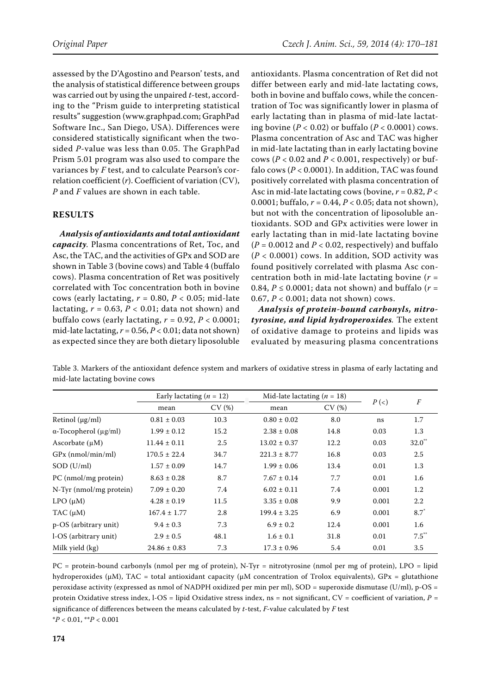assessed by the D'Agostino and Pearson' tests, and the analysis of statistical difference between groups was carried out by using the unpaired *t*-test, according to the "Prism guide to interpreting statistical results" suggestion (www.graphpad.com; GraphPad Software Inc., San Diego, USA). Differences were considered statistically significant when the twosided *P-*value was less than 0.05. The GraphPad Prism 5.01 program was also used to compare the variances by *F* test, and to calculate Pearson's correlation coefficient (*r*). Coefficient of variation (CV), *P* and *F* values are shown in each table.

### **RESULTS**

*Analysis of antioxidants and total antioxidant capacity.* Plasma concentrations of Ret, Toc, and Asc, the TAC, and the activities of GPx and SOD are shown in Table 3 (bovine cows) and Table 4 (buffalo cows). Plasma concentration of Ret was positively correlated with Toc concentration both in bovine cows (early lactating, *r* = 0.80, *P* < 0.05; mid-late lactating,  $r = 0.63$ ,  $P < 0.01$ ; data not shown) and buffalo cows (early lactating, *r* = 0.92, *P* < 0.0001; mid-late lactating,  $r = 0.56$ ,  $P < 0.01$ ; data not shown) as expected since they are both dietary liposoluble

antioxidants. Plasma concentration of Ret did not differ between early and mid-late lactating cows, both in bovine and buffalo cows, while the concentration of Toc was significantly lower in plasma of early lactating than in plasma of mid-late lactating bovine ( $P < 0.02$ ) or buffalo ( $P < 0.0001$ ) cows. Plasma concentration of Asc and TAC was higher in mid-late lactating than in early lactating bovine cows ( $P < 0.02$  and  $P < 0.001$ , respectively) or buffalo cows  $(P < 0.0001)$ . In addition, TAC was found positively correlated with plasma concentration of Asc in mid-late lactating cows (bovine, *r* = 0.82, *P* < 0.0001; buffalo, *r* = 0.44, *P* < 0.05; data not shown), but not with the concentration of liposoluble antioxidants. SOD and GPx activities were lower in early lactating than in mid-late lactating bovine  $(P = 0.0012$  and  $P < 0.02$ , respectively) and buffalo (*P* < 0.0001) cows. In addition, SOD activity was found positively correlated with plasma Asc concentration both in mid-late lactating bovine (*r* = 0.84,  $P \le 0.0001$ ; data not shown) and buffalo ( $r =$ 0.67, *P* < 0.001; data not shown) cows.

*Analysis of protein-bound carbonyls, nitrotyrosine, and lipid hydroperoxides.* The extent of oxidative damage to proteins and lipids was evaluated by measuring plasma concentrations

|                              | Early lactating ( $n = 12$ ) |       | Mid-late lactating ( $n = 18$ ) |       |           |                  |
|------------------------------|------------------------------|-------|---------------------------------|-------|-----------|------------------|
|                              | mean                         | CV(%) | mean                            | CV(%) | $P(\leq)$ | $\boldsymbol{F}$ |
| Retinol $(\mu g/ml)$         | $0.81 \pm 0.03$              | 10.3  | $0.80 \pm 0.02$                 | 8.0   | ns        | 1.7              |
| $\alpha$ -Tocopherol (µg/ml) | $1.99 \pm 0.12$              | 15.2  | $2.38 \pm 0.08$                 | 14.8  | 0.03      | 1.3              |
| Ascorbate $(\mu M)$          | $11.44 \pm 0.11$             | 2.5   | $13.02 \pm 0.37$                | 12.2  | 0.03      | $32.0^{**}$      |
| $GPx$ (nmol/min/ml)          | $170.5 \pm 22.4$             | 34.7  | $221.3 \pm 8.77$                | 16.8  | 0.03      | 2.5              |
| SOD (U/ml)                   | $1.57 \pm 0.09$              | 14.7  | $1.99 \pm 0.06$                 | 13.4  | 0.01      | 1.3              |
| PC (nmol/mg protein)         | $8.63 \pm 0.28$              | 8.7   | $7.67 \pm 0.14$                 | 7.7   | 0.01      | 1.6              |
| $N-Tyr$ (nmol/mg protein)    | $7.09 \pm 0.20$              | 7.4   | $6.02 \pm 0.11$                 | 7.4   | 0.001     | 1.2              |
| $LPO(\mu M)$                 | $4.28 \pm 0.19$              | 11.5  | $3.35 \pm 0.08$                 | 9.9   | 0.001     | 2.2              |
| $TAC(\mu M)$                 | $167.4 \pm 1.77$             | 2.8   | $199.4 \pm 3.25$                | 6.9   | 0.001     | $8.7^{*}$        |
| p-OS (arbitrary unit)        | $9.4 \pm 0.3$                | 7.3   | $6.9 \pm 0.2$                   | 12.4  | 0.001     | 1.6              |
| l-OS (arbitrary unit)        | $2.9 \pm 0.5$                | 48.1  | $1.6 \pm 0.1$                   | 31.8  | 0.01      | $7.5^{**}$       |
| Milk yield (kg)              | $24.86 \pm 0.83$             | 7.3   | $17.3 \pm 0.96$                 | 5.4   | 0.01      | 3.5              |

Table 3. Markers of the antioxidant defence system and markers of oxidative stress in plasma of early lactating and mid-late lactating bovine cows

PC = protein-bound carbonyls (nmol per mg of protein), N-Tyr = nitrotyrosine (nmol per mg of protein), LPO = lipid hydroperoxides ( $\mu$ M), TAC = total antioxidant capacity ( $\mu$ M concentration of Trolox equivalents), GPx = glutathione peroxidase activity (expressed as nmol of NADPH oxidized per min per ml), SOD = superoxide dismutase (U/ml), p-OS = protein Oxidative stress index, l-OS = lipid Oxidative stress index, ns = not significant, CV = coefficient of variation, *P* = significance of differences between the means calculated by *t-*test, *F-*value calculated by *F* test  $*P < 0.01$ ,  $*P < 0.001$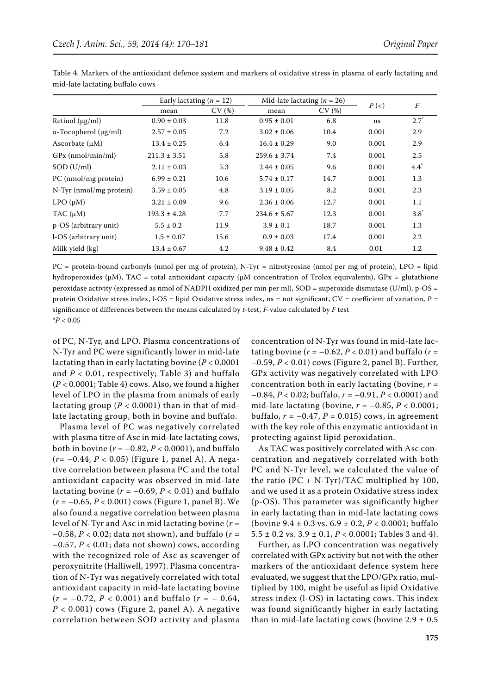|                                    | Early lactating $(n = 12)$ |       | Mid-late lactating ( $n = 26$ ) |       |                                   |                  |
|------------------------------------|----------------------------|-------|---------------------------------|-------|-----------------------------------|------------------|
|                                    | mean                       | CV(%) | mean                            | CV(%) | $P\left( \langle \rangle \right)$ | $\boldsymbol{F}$ |
| Retinol $(\mu g/ml)$               | $0.90 \pm 0.03$            | 11.8  | $0.95 \pm 0.01$                 | 6.8   | ns                                | $2.7^*$          |
| $\alpha$ -Tocopherol ( $\mu$ g/ml) | $2.57 \pm 0.05$            | 7.2   | $3.02 \pm 0.06$                 | 10.4  | 0.001                             | 2.9              |
| Ascorbate $(\mu M)$                | $13.4 \pm 0.25$            | 6.4   | $16.4 \pm 0.29$                 | 9.0   | 0.001                             | 2.9              |
| $GPx$ (nmol/min/ml)                | $211.3 \pm 3.51$           | 5.8   | $259.6 \pm 3.74$                | 7.4   | 0.001                             | 2.5              |
| SOD (U/ml)                         | $2.11 \pm 0.03$            | 5.3   | $2.44 \pm 0.05$                 | 9.6   | 0.001                             | $4.4^{\degree}$  |
| PC (nmol/mg protein)               | $6.99 \pm 0.21$            | 10.6  | $5.74 \pm 0.17$                 | 14.7  | 0.001                             | 1.3              |
| N-Tyr (nmol/mg protein)            | $3.59 \pm 0.05$            | 4.8   | $3.19 \pm 0.05$                 | 8.2   | 0.001                             | 2.3              |
| $LPO(\mu M)$                       | $3.21 \pm 0.09$            | 9.6   | $2.36 \pm 0.06$                 | 12.7  | 0.001                             | 1.1              |
| TAC $(\mu M)$                      | $193.3 \pm 4.28$           | 7.7   | $234.6 \pm 5.67$                | 12.3  | 0.001                             | $3.8^{\circ}$    |
| p-OS (arbitrary unit)              | $5.5 \pm 0.2$              | 11.9  | $3.9 \pm 0.1$                   | 18.7  | 0.001                             | 1.3              |
| l-OS (arbitrary unit)              | $1.5 \pm 0.07$             | 15.6  | $0.9 \pm 0.03$                  | 17.4  | 0.001                             | 2.2              |
| Milk yield (kg)                    | $13.4 \pm 0.67$            | 4.2   | $9.48 \pm 0.42$                 | 8.4   | 0.01                              | 1.2              |

Table 4. Markers of the antioxidant defence system and markers of oxidative stress in plasma of early lactating and mid-late lactating buffalo cows

PC = protein-bound carbonyls (nmol per mg of protein), N-Tyr = nitrotyrosine (nmol per mg of protein), LPO = lipid hydroperoxides ( $\mu$ M), TAC = total antioxidant capacity ( $\mu$ M concentration of Trolox equivalents), GPx = glutathione peroxidase activity (expressed as nmol of NADPH oxidized per min per ml), SOD = superoxide dismutase (U/ml), p-OS = protein Oxidative stress index, l-OS = lipid Oxidative stress index, ns = not significant, CV = coefficient of variation, *P* = significance of differences between the means calculated by *t-*test, *F-*value calculated by *F* test \**P* < 0.05

of PC, N-Tyr, and LPO. Plasma concentrations of N-Tyr and PC were significantly lower in mid-late lactating than in early lactating bovine (*P* < 0.0001 and  $P < 0.01$ , respectively; Table 3) and buffalo (*P* < 0.0001; Table 4) cows. Also, we found a higher level of LPO in the plasma from animals of early lactating group ( $P < 0.0001$ ) than in that of midlate lactating group, both in bovine and buffalo.

Plasma level of PC was negatively correlated with plasma titre of Asc in mid-late lactating cows, both in bovine  $(r = -0.82, P < 0.0001)$ , and buffalo (*r*= –0.44, *P* < 0.05) (Figure 1, panel A). A negative correlation between plasma PC and the total antioxidant capacity was observed in mid-late lactating bovine ( $r = -0.69$ ,  $P < 0.01$ ) and buffalo (*r* = –0.65, *P* < 0.001) cows (Figure 1, panel B). We also found a negative correlation between plasma level of N-Tyr and Asc in mid lactating bovine (*r* = –0.58, *P* < 0.02; data not shown), and buffalo (*r* = –0.57, *P* < 0.01; data not shown) cows, according with the recognized role of Asc as scavenger of peroxynitrite (Halliwell, 1997). Plasma concentration of N-Tyr was negatively correlated with total antioxidant capacity in mid-late lactating bovine  $(r = -0.72, P < 0.001)$  and buffalo  $(r = -0.64,$  $P < 0.001$ ) cows (Figure 2, panel A). A negative correlation between SOD activity and plasma

concentration of N-Tyr was found in mid-late lactating bovine  $(r = -0.62, P < 0.01)$  and buffalo  $(r =$ –0.59, *P* < 0.01) cows (Figure 2, panel B). Further, GPx activity was negatively correlated with LPO concentration both in early lactating (bovine, *r* = –0.84, *P* < 0.02; buffalo, *r* = –0.91, *P* < 0.0001) and mid-late lactating (bovine,  $r = -0.85$ ,  $P < 0.0001$ ; buffalo,  $r = -0.47$ ,  $P = 0.015$ ) cows, in agreement with the key role of this enzymatic antioxidant in protecting against lipid peroxidation.

As TAC was positively correlated with Asc concentration and negatively correlated with both PC and N-Tyr level, we calculated the value of the ratio  $(PC + N-Tyr)/TAC$  multiplied by 100, and we used it as a protein Oxidative stress index (p-OS). This parameter was significantly higher in early lactating than in mid-late lactating cows (bovine 9.4 ± 0.3 vs. 6.9 ± 0.2, *P* < 0.0001; buffalo 5.5  $\pm$  0.2 vs. 3.9  $\pm$  0.1, *P* < 0.0001; Tables 3 and 4).

Further, as LPO concentration was negatively correlated with GPx activity but not with the other markers of the antioxidant defence system here evaluated, we suggest that the LPO/GPx ratio, multiplied by 100, might be useful as lipid Oxidative stress index (l-OS) in lactating cows. This index was found significantly higher in early lactating than in mid-late lactating cows (bovine  $2.9 \pm 0.5$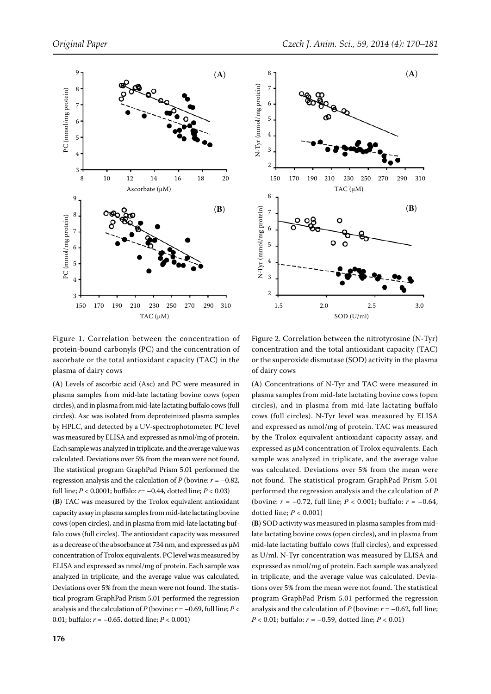

Figure 1. Correlation between the concentration of protein-bound carbonyls (PC) and the concentration of ascorbate or the total antioxidant capacity (TAC) in the plasma of dairy cows

(**A**) Levels of ascorbic acid (Asc) and PC were measured in plasma samples from mid-late lactating bovine cows (open circles), and in plasma from mid-late lactating buffalo cows (full circles). Asc was isolated from deproteinized plasma samples by HPLC, and detected by a UV-spectrophotometer. PC level was measured by ELISA and expressed as nmol/mg of protein. Each sample was analyzed in triplicate, and the average value was calculated. Deviations over 5% from the mean were not found. The statistical program GraphPad Prism 5.01 performed the regression analysis and the calculation of  $P$  (bovine:  $r = -0.82$ , full line; *P* < 0.0001; buffalo: *r*= –0.44, dotted line; *P* < 0.03) (**B**) TAC was measured by the Trolox equivalent antioxidant capacity assay in plasma samples from mid-late lactating bovine

cows (open circles), and in plasma from mid-late lactating buffalo cows (full circles). The antioxidant capacity was measured as a decrease of the absorbance at 734 nm, and expressed as µM concentration of Trolox equivalents. PC level was measured by ELISA and expressed as nmol/mg of protein. Each sample was analyzed in triplicate, and the average value was calculated. Deviations over 5% from the mean were not found. The statistical program GraphPad Prism 5.01 performed the regression analysis and the calculation of *P* (bovine:  $r = -0.69$ , full line;  $P <$ 0.01; buffalo: *r* = –0.65, dotted line; *P* < 0.001)



Figure 2. Correlation between the nitrotyrosine (N-Tyr) concentration and the total antioxidant capacity (TAC) or the superoxide dismutase (SOD) activity in the plasma of dairy cows

(**A**) Concentrations of N-Tyr and TAC were measured in plasma samples from mid-late lactating bovine cows (open circles), and in plasma from mid-late lactating buffalo cows (full circles). N-Tyr level was measured by ELISA and expressed as nmol/mg of protein. TAC was measured by the Trolox equivalent antioxidant capacity assay, and expressed as µM concentration of Trolox equivalents. Each sample was analyzed in triplicate, and the average value was calculated. Deviations over 5% from the mean were not found. The statistical program GraphPad Prism 5.01 performed the regression analysis and the calculation of *P* (bovine: *r* = –0.72, full line; *P* < 0.001; buffalo: *r* = –0.64, dotted line; *P* < 0.001)

(**B**) SOD activity was measured in plasma samples from midlate lactating bovine cows (open circles), and in plasma from mid-late lactating buffalo cows (full circles), and expressed as U/ml. N-Tyr concentration was measured by ELISA and expressed as nmol/mg of protein. Each sample was analyzed in triplicate, and the average value was calculated. Deviations over 5% from the mean were not found. The statistical program GraphPad Prism 5.01 performed the regression analysis and the calculation of  $P$  (bovine:  $r = -0.62$ , full line; *P* < 0.01; buffalo: *r* = –0.59, dotted line; *P* < 0.01)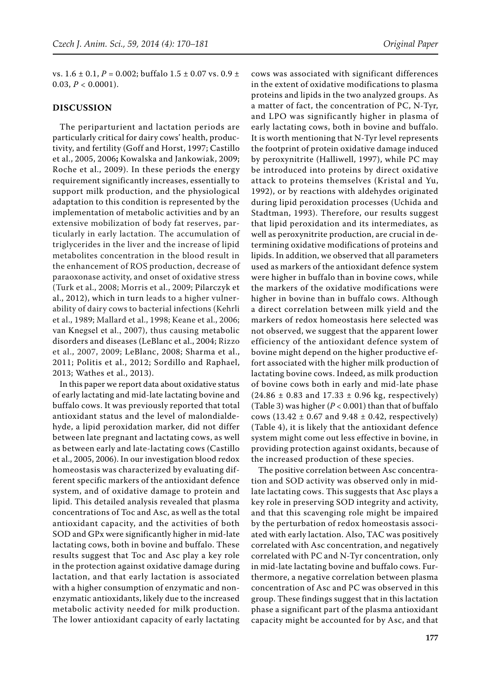vs.  $1.6 \pm 0.1$ ,  $P = 0.002$ ; buffalo  $1.5 \pm 0.07$  vs.  $0.9 \pm 0.07$ 0.03,  $P < 0.0001$ ).

#### **DISCUSSION**

The periparturient and lactation periods are particularly critical for dairy cows' health, productivity, and fertility (Goff and Horst, 1997; Castillo et al., 2005, 2006**;** Kowalska and Jankowiak, 2009; Roche et al., 2009). In these periods the energy requirement significantly increases, essentially to support milk production, and the physiological adaptation to this condition is represented by the implementation of metabolic activities and by an extensive mobilization of body fat reserves, particularly in early lactation. The accumulation of triglycerides in the liver and the increase of lipid metabolites concentration in the blood result in the enhancement of ROS production, decrease of paraoxonase activity, and onset of oxidative stress (Turk et al., 2008; Morris et al., 2009; Pilarczyk et al., 2012), which in turn leads to a higher vulnerability of dairy cows to bacterial infections (Kehrli et al., 1989; Mallard et al., 1998; Keane et al., 2006; van Knegsel et al., 2007), thus causing metabolic disorders and diseases (LeBlanc et al., 2004; Rizzo et al., 2007, 2009; LeBlanc, 2008; Sharma et al., 2011; Politis et al., 2012; Sordillo and Raphael, 2013; Wathes et al., 2013).

In this paper we report data about oxidative status of early lactating and mid-late lactating bovine and buffalo cows. It was previously reported that total antioxidant status and the level of malondialdehyde, a lipid peroxidation marker, did not differ between late pregnant and lactating cows, as well as between early and late-lactating cows (Castillo et al., 2005, 2006). In our investigation blood redox homeostasis was characterized by evaluating different specific markers of the antioxidant defence system, and of oxidative damage to protein and lipid. This detailed analysis revealed that plasma concentrations of Toc and Asc, as well as the total antioxidant capacity, and the activities of both SOD and GPx were significantly higher in mid-late lactating cows, both in bovine and buffalo. These results suggest that Toc and Asc play a key role in the protection against oxidative damage during lactation, and that early lactation is associated with a higher consumption of enzymatic and nonenzymatic antioxidants, likely due to the increased metabolic activity needed for milk production. The lower antioxidant capacity of early lactating

cows was associated with significant differences in the extent of oxidative modifications to plasma proteins and lipids in the two analyzed groups. As a matter of fact, the concentration of PC, N-Tyr, and LPO was significantly higher in plasma of early lactating cows, both in bovine and buffalo. It is worth mentioning that N-Tyr level represents the footprint of protein oxidative damage induced by peroxynitrite (Halliwell, 1997), while PC may be introduced into proteins by direct oxidative attack to proteins themselves (Kristal and Yu, 1992), or by reactions with aldehydes originated during lipid peroxidation processes (Uchida and Stadtman, 1993). Therefore, our results suggest that lipid peroxidation and its intermediates, as well as peroxynitrite production, are crucial in determining oxidative modifications of proteins and lipids. In addition, we observed that all parameters used as markers of the antioxidant defence system were higher in buffalo than in bovine cows, while the markers of the oxidative modifications were higher in bovine than in buffalo cows. Although a direct correlation between milk yield and the markers of redox homeostasis here selected was not observed, we suggest that the apparent lower efficiency of the antioxidant defence system of bovine might depend on the higher productive effort associated with the higher milk production of lactating bovine cows. Indeed, as milk production of bovine cows both in early and mid-late phase  $(24.86 \pm 0.83 \text{ and } 17.33 \pm 0.96 \text{ kg}, \text{respectively})$ (Table 3) was higher (*P* < 0.001) than that of buffalo cows (13.42  $\pm$  0.67 and 9.48  $\pm$  0.42, respectively) (Table 4), it is likely that the antioxidant defence system might come out less effective in bovine, in providing protection against oxidants, because of the increased production of these species.

The positive correlation between Asc concentration and SOD activity was observed only in midlate lactating cows. This suggests that Asc plays a key role in preserving SOD integrity and activity, and that this scavenging role might be impaired by the perturbation of redox homeostasis associated with early lactation. Also, TAC was positively correlated with Asc concentration, and negatively correlated with PC and N-Tyr concentration, only in mid-late lactating bovine and buffalo cows. Furthermore, a negative correlation between plasma concentration of Asc and PC was observed in this group. These findings suggest that in this lactation phase a significant part of the plasma antioxidant capacity might be accounted for by Asc, and that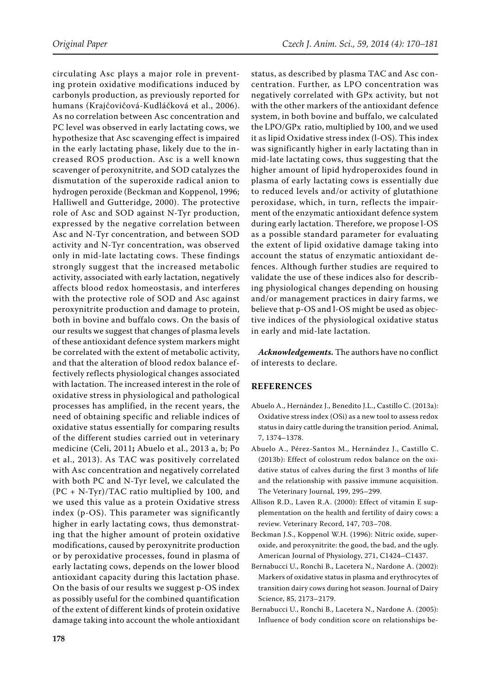circulating Asc plays a major role in preventing protein oxidative modifications induced by carbonyls production, as previously reported for humans (Krajčovičová-Kudláčková et al., 2006). As no correlation between Asc concentration and PC level was observed in early lactating cows, we hypothesize that Asc scavenging effect is impaired in the early lactating phase, likely due to the increased ROS production. Asc is a well known scavenger of peroxynitrite, and SOD catalyzes the dismutation of the superoxide radical anion to hydrogen peroxide (Beckman and Koppenol, 1996; Halliwell and Gutteridge, 2000). The protective role of Asc and SOD against N-Tyr production, expressed by the negative correlation between Asc and N-Tyr concentration, and between SOD activity and N-Tyr concentration, was observed only in mid-late lactating cows. These findings strongly suggest that the increased metabolic activity, associated with early lactation, negatively affects blood redox homeostasis, and interferes with the protective role of SOD and Asc against peroxynitrite production and damage to protein, both in bovine and buffalo cows. On the basis of our results we suggest that changes of plasma levels of these antioxidant defence system markers might be correlated with the extent of metabolic activity, and that the alteration of blood redox balance effectively reflects physiological changes associated with lactation. The increased interest in the role of oxidative stress in physiological and pathological processes has amplified, in the recent years, the need of obtaining specific and reliable indices of oxidative status essentially for comparing results of the different studies carried out in veterinary medicine (Celi, 2011**;** Abuelo et al., 2013 a, b; Po et al., 2013). As TAC was positively correlated with Asc concentration and negatively correlated with both PC and N-Tyr level, we calculated the (PC + N-Tyr)/TAC ratio multiplied by 100, and we used this value as a protein Oxidative stress index (p-OS). This parameter was significantly higher in early lactating cows, thus demonstrating that the higher amount of protein oxidative modifications, caused by peroxynitrite production or by peroxidative processes, found in plasma of early lactating cows, depends on the lower blood antioxidant capacity during this lactation phase. On the basis of our results we suggest p-OS index as possibly useful for the combined quantification of the extent of different kinds of protein oxidative damage taking into account the whole antioxidant status, as described by plasma TAC and Asc concentration. Further, as LPO concentration was negatively correlated with GPx activity, but not with the other markers of the antioxidant defence system, in both bovine and buffalo, we calculated the LPO/GPx ratio, multiplied by 100, and we used it as lipid Oxidative stress index (l-OS). This index was significantly higher in early lactating than in mid-late lactating cows, thus suggesting that the higher amount of lipid hydroperoxides found in plasma of early lactating cows is essentially due to reduced levels and/or activity of glutathione peroxidase, which, in turn, reflects the impairment of the enzymatic antioxidant defence system during early lactation. Therefore, we propose l-OS as a possible standard parameter for evaluating the extent of lipid oxidative damage taking into account the status of enzymatic antioxidant defences. Although further studies are required to validate the use of these indices also for describing physiological changes depending on housing and/or management practices in dairy farms, we believe that p-OS and l-OS might be used as objective indices of the physiological oxidative status in early and mid-late lactation.

*Acknowledgements.* The authors have no conflict of interests to declare.

## **REFERENCES**

- Abuelo A., Hernández J., Benedito J.L., Castillo C. (2013a): Oxidative stress index (OSi) as a new tool to assess redox status in dairy cattle during the transition period. Animal, 7, 1374–1378.
- Abuelo A., Pérez-Santos M., Hernández J., Castillo C. (2013b): Effect of colostrum redox balance on the oxidative status of calves during the first 3 months of life and the relationship with passive immune acquisition. The Veterinary Journal, 199, 295–299.
- Allison R.D., Laven R.A. (2000): Effect of vitamin E supplementation on the health and fertility of dairy cows: a review. Veterinary Record, 147, 703–708.
- Beckman J.S., Koppenol W.H. (1996): Nitric oxide, superoxide, and peroxynitrite: the good, the bad, and the ugly. American Journal of Physiology, 271, C1424–C1437.
- Bernabucci U., Ronchi B., Lacetera N., Nardone A. (2002): Markers of oxidative status in plasma and erythrocytes of transition dairy cows during hot season. Journal of Dairy Science, 85, 2173–2179.
- Bernabucci U., Ronchi B., Lacetera N., Nardone A. (2005): Influence of body condition score on relationships be-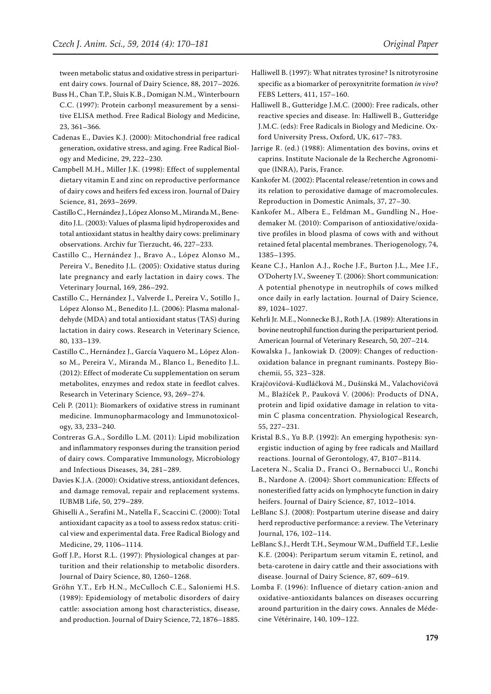tween metabolic status and oxidative stress in periparturient dairy cows. Journal of Dairy Science, 88, 2017–2026.

- Buss H., Chan T.P., Sluis K.B., Domigan N.M., Winterbourn C.C. (1997): Protein carbonyl measurement by a sensitive ELISA method. Free Radical Biology and Medicine, 23, 361–366.
- Cadenas E., Davies K.J. (2000): Mitochondrial free radical generation, oxidative stress, and aging. Free Radical Biology and Medicine, 29, 222–230.
- Campbell M.H., Miller J.K. (1998): Effect of supplemental dietary vitamin E and zinc on reproductive performance of dairy cows and heifers fed excess iron. Journal of Dairy Science, 81, 2693–2699.
- Castillo C., Hernández J., López Alonso M., Miranda M., Benedito J.L. (2003): Values of plasma lipid hydroperoxides and total antioxidant status in healthy dairy cows: preliminary observations. Archiv fur Tierzucht, 46, 227–233.
- Castillo C., Hernández J., Bravo A., López Alonso M., Pereira V., Benedito J.L. (2005): Oxidative status during late pregnancy and early lactation in dairy cows. The Veterinary Journal, 169, 286–292.
- Castillo C., Hernández J., Valverde I., Pereira V., Sotillo J., López Alonso M., Benedito J.L. (2006): Plasma malonaldehyde (MDA) and total antioxidant status (TAS) during lactation in dairy cows. Research in Veterinary Science, 80, 133–139.
- Castillo C., Hernández J., García Vaquero M., López Alonso M., Pereira V., Miranda M., Blanco I., Benedito J.L. (2012): Effect of moderate Cu supplementation on serum metabolites, enzymes and redox state in feedlot calves. Research in Veterinary Science, 93, 269–274.
- Celi P. (2011): Biomarkers of oxidative stress in ruminant medicine. Immunopharmacology and Immunotoxicology, 33, 233–240.
- Contreras G.A., Sordillo L.M. (2011): Lipid mobilization and inflammatory responses during the transition period of dairy cows. Comparative Immunology, Microbiology and Infectious Diseases, 34, 281–289.
- Davies K.J.A. (2000): Oxidative stress, antioxidant defences, and damage removal, repair and replacement systems. IUBMB Life, 50, 279–289.
- Ghiselli A., Serafini M., Natella F., Scaccini C. (2000): Total antioxidant capacity as a tool to assess redox status: critical view and experimental data. Free Radical Biology and Medicine, 29, 1106–1114.
- Goff J.P., Horst R.L. (1997): Physiological changes at parturition and their relationship to metabolic disorders. Journal of Dairy Science, 80, 1260–1268.
- Gröhn Y.T., Erb H.N., McCulloch C.E., Saloniemi H.S. (1989): Epidemiology of metabolic disorders of dairy cattle: association among host characteristics, disease, and production. Journal of Dairy Science, 72, 1876–1885.
- Halliwell B. (1997): What nitrates tyrosine? Is nitrotyrosine specific as a biomarker of peroxynitrite formation *in vivo*? FEBS Letters, 411, 157–160.
- Halliwell B., Gutteridge J.M.C. (2000): Free radicals, other reactive species and disease. In: Halliwell B., Gutteridge J.M.C. (eds): Free Radicals in Biology and Medicine. Oxford University Press, Oxford, UK, 617–783.
- Jarrige R. (ed.) (1988): Alimentation des bovins, ovins et caprins. Institute Nacionale de la Recherche Agronomique (INRA), Paris, France.
- Kankofer M. (2002): Placental release/retention in cows and its relation to peroxidative damage of macromolecules. Reproduction in Domestic Animals, 37, 27–30.
- Kankofer M., Albera E., Feldman M., Gundling N., Hoedemaker M. (2010): Comparison of antioxidative/oxidative profiles in blood plasma of cows with and without retained fetal placental membranes. Theriogenology, 74, 1385–1395.
- Keane C.J., Hanlon A.J., Roche J.F., Burton J.L., Mee J.F., O'Doherty J.V., Sweeney T. (2006): Short communication: A potential phenotype in neutrophils of cows milked once daily in early lactation. Journal of Dairy Science, 89, 1024–1027.
- Kehrli Jr. M.E., Nonnecke B.J., Roth J.A. (1989): Alterations in bovine neutrophil function during the periparturient period. American Journal of Veterinary Research, 50, 207–214.
- Kowalska J., Jankowiak D. (2009): Changes of reductionoxidation balance in pregnant ruminants. Postepy Biochemii, 55, 323–328.
- Krajčovičová-Kudláčková M., Dušinská M., Valachovičová M., Blažíček P., Pauková V. (2006): Products of DNA, protein and lipid oxidative damage in relation to vitamin C plasma concentration. Physiological Research, 55, 227–231.
- Kristal B.S., Yu B.P. (1992): An emerging hypothesis: synergistic induction of aging by free radicals and Maillard reactions. Journal of Gerontology, 47, B107–B114.
- Lacetera N., Scalia D., Franci O., Bernabucci U., Ronchi B., Nardone A. (2004): Short communication: Effects of nonesterified fatty acids on lymphocyte function in dairy heifers. Journal of Dairy Science, 87, 1012–1014.
- LeBlanc S.J. (2008): Postpartum uterine disease and dairy herd reproductive performance: a review. The Veterinary Journal, 176, 102–114.
- LeBlanc S.J., Herdt T.H., Seymour W.M., Duffield T.F., Leslie K.E. (2004): Peripartum serum vitamin E, retinol, and beta-carotene in dairy cattle and their associations with disease. Journal of Dairy Science, 87, 609–619.
- Lomba F. (1996): Influence of dietary cation-anion and oxidative-antioxidants balances on diseases occurring around parturition in the dairy cows. Annales de Médecine Vétérinaire, 140, 109–122.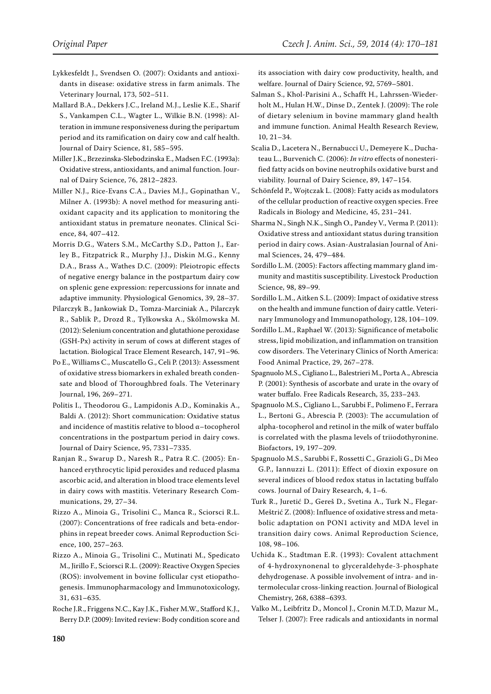- Lykkesfeldt J., Svendsen O. (2007): Oxidants and antioxidants in disease: oxidative stress in farm animals. The Veterinary Journal, 173, 502–511.
- Mallard B.A., Dekkers J.C., Ireland M.J., Leslie K.E., Sharif S., Vankampen C.L., Wagter L., Wilkie B.N. (1998): Alteration in immune responsiveness during the peripartum period and its ramification on dairy cow and calf health. Journal of Dairy Science, 81, 585–595.
- Miller J.K., Brzezinska-Slebodzinska E., Madsen F.C. (1993a): Oxidative stress, antioxidants, and animal function. Journal of Dairy Science, 76, 2812–2823.
- Miller N.J., Rice-Evans C.A., Davies M.J., Gopinathan V., Milner A. (1993b): A novel method for measuring antioxidant capacity and its application to monitoring the antioxidant status in premature neonates. Clinical Science, 84, 407–412.
- Morris D.G., Waters S.M., McCarthy S.D., Patton J., Earley B., Fitzpatrick R., Murphy J.J., Diskin M.G., Kenny D.A., Brass A., Wathes D.C. (2009): Pleiotropic effects of negative energy balance in the postpartum dairy cow on splenic gene expression: repercussions for innate and adaptive immunity. Physiological Genomics, 39, 28–37.
- Pilarczyk B., Jankowiak D., Tomza-Marciniak A., Pilarczyk R., Sablik P., Drozd R., Tylkowska A., Skólmowska M. (2012): Selenium concentration and glutathione peroxidase (GSH-Px) activity in serum of cows at different stages of lactation. Biological Trace Element Research, 147, 91–96.
- Po E., Williams C., Muscatello G., Celi P. (2013): Assessment of oxidative stress biomarkers in exhaled breath condensate and blood of Thoroughbred foals. The Veterinary Journal, 196, 269–271.
- Politis I., Theodorou G., Lampidonis A.D., Kominakis A., Baldi A. (2012): Short communication: Oxidative status and incidence of mastitis relative to blood α–tocopherol concentrations in the postpartum period in dairy cows. Journal of Dairy Science, 95, 7331–7335.
- Ranjan R., Swarup D., Naresh R., Patra R.C. (2005): Enhanced erythrocytic lipid peroxides and reduced plasma ascorbic acid, and alteration in blood trace elements level in dairy cows with mastitis. Veterinary Research Communications, 29, 27–34.
- Rizzo A., Minoia G., Trisolini C., Manca R., Sciorsci R.L. (2007): Concentrations of free radicals and beta-endorphins in repeat breeder cows. Animal Reproduction Science, 100, 257–263.
- Rizzo A., Minoia G., Trisolini C., Mutinati M., Spedicato M., Jirillo F., Sciorsci R.L. (2009): Reactive Oxygen Species (ROS): involvement in bovine follicular cyst etiopathogenesis. Immunopharmacology and Immunotoxicology, 31, 631–635.
- Roche J.R., Friggens N.C., Kay J.K., Fisher M.W., Stafford K.J., Berry D.P. (2009): Invited review: Body condition score and

its association with dairy cow productivity, health, and welfare. Journal of Dairy Science, 92, 5769–5801.

- Salman S., Khol-Parisini A., Schafft H., Lahrssen-Wiederholt M., Hulan H.W., Dinse D., Zentek J. (2009): The role of dietary selenium in bovine mammary gland health and immune function. Animal Health Research Review, 10, 21–34.
- Scalia D., Lacetera N., Bernabucci U., Demeyere K., Duchateau L., Burvenich C. (2006): *In vitro* effects of nonesterified fatty acids on bovine neutrophils oxidative burst and viability. Journal of Dairy Science, 89, 147–154.
- Schönfeld P., Wojtczak L. (2008): Fatty acids as modulators of the cellular production of reactive oxygen species. Free Radicals in Biology and Medicine, 45, 231–241.
- Sharma N., Singh N.K., Singh O., Pandey V., Verma P. (2011): Oxidative stress and antioxidant status during transition period in dairy cows. Asian-Australasian Journal of Animal Sciences, 24, 479–484.
- Sordillo L.M. (2005): Factors affecting mammary gland immunity and mastitis susceptibility. Livestock Production Science, 98, 89–99.
- Sordillo L.M., Aitken S.L. (2009): Impact of oxidative stress on the health and immune function of dairy cattle. Veterinary Immunology and Immunopathology, 128, 104–109.
- Sordillo L.M., Raphael W. (2013): Significance of metabolic stress, lipid mobilization, and inflammation on transition cow disorders. The Veterinary Clinics of North America: Food Animal Practice, 29, 267–278.
- Spagnuolo M.S., Cigliano L., Balestrieri M., Porta A., Abrescia P. (2001): Synthesis of ascorbate and urate in the ovary of water buffalo. Free Radicals Research, 35, 233–243.
- Spagnuolo M.S., Cigliano L., Sarubbi F., Polimeno F., Ferrara L., Bertoni G., Abrescia P. (2003): The accumulation of alpha-tocopherol and retinol in the milk of water buffalo is correlated with the plasma levels of triiodothyronine. Biofactors, 19, 197–209.
- Spagnuolo M.S., Sarubbi F., Rossetti C., Grazioli G., Di Meo G.P., Iannuzzi L. (2011): Effect of dioxin exposure on several indices of blood redox status in lactating buffalo cows. Journal of Dairy Research, 4, 1–6.
- Turk R., Juretić D., Gereš D., Svetina A., Turk N., Flegar-Meštrić Z. (2008): Influence of oxidative stress and metabolic adaptation on PON1 activity and MDA level in transition dairy cows. Animal Reproduction Science, 108, 98–106.
- Uchida K., Stadtman E.R. (1993): Covalent attachment of 4-hydroxynonenal to glyceraldehyde-3-phosphate dehydrogenase. A possible involvement of intra- and intermolecular cross-linking reaction. Journal of Biological Chemistry, 268, 6388–6393.
- Valko M., Leibfritz D., Moncol J., Cronin M.T.D, Mazur M., Telser J. (2007): Free radicals and antioxidants in normal